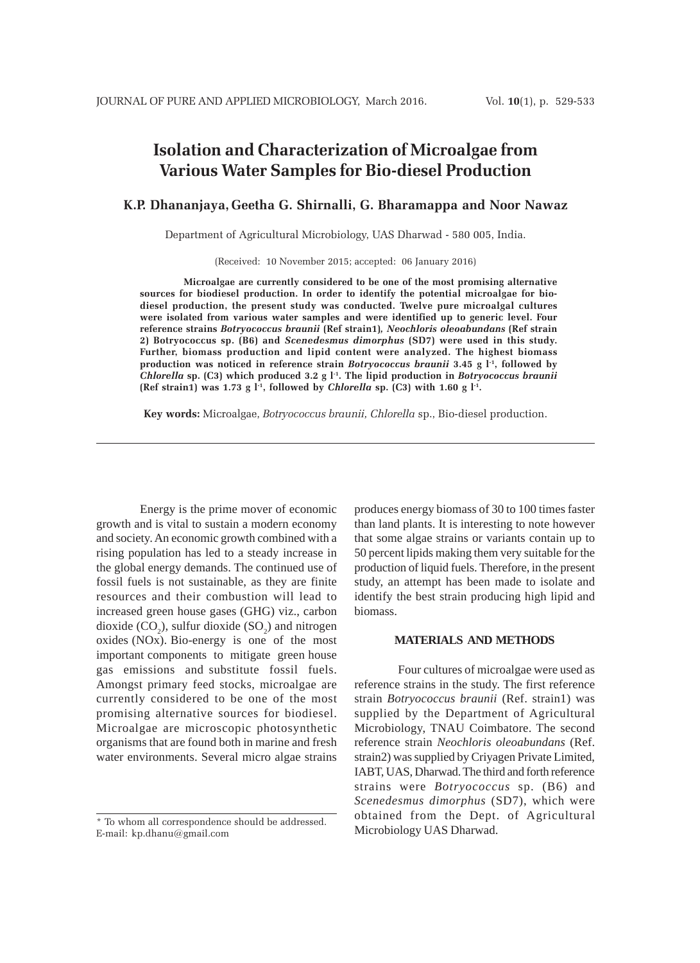# **Isolation and Characterization of Microalgae from Various Water Samples for Bio-diesel Production**

## **K.P. Dhananjaya, Geetha G. Shirnalli, G. Bharamappa and Noor Nawaz**

Department of Agricultural Microbiology, UAS Dharwad - 580 005, India.

(Received: 10 November 2015; accepted: 06 January 2016)

**Microalgae are currently considered to be one of the most promising alternative sources for biodiesel production. In order to identify the potential microalgae for biodiesel production, the present study was conducted. Twelve pure microalgal cultures were isolated from various water samples and were identified up to generic level. Four reference strains** *Botryococcus braunii* **(Ref strain1)***, Neochloris oleoabundans* **(Ref strain 2) Botryococcus sp. (B6) and** *Scenedesmus dimorphus* **(SD7) were used in this study. Further, biomass production and lipid content were analyzed. The highest biomass production was noticed in reference strain** *Botryococcus braunii* **3.45 g l-1, followed by** *Chlorella* **sp. (C3) which produced 3.2 g l-1. The lipid production in** *Botryococcus braunii*  $(Ref strain1)$  was 1.73 g  $l<sup>-1</sup>$ , followed by *Chlorella* sp.  $(C3)$  with 1.60 g  $l<sup>-1</sup>$ .

**Key words:** Microalgae, *Botryococcus braunii, Chlorella* sp., Bio-diesel production.

Energy is the prime mover of economic growth and is vital to sustain a modern economy and society. An economic growth combined with a rising population has led to a steady increase in the global energy demands. The continued use of fossil fuels is not sustainable, as they are finite resources and their combustion will lead to increased green house gases (GHG) viz., carbon dioxide  $(CO_2)$ , sulfur dioxide  $(SO_2)$  and nitrogen oxides (NOx). Bio-energy is one of the most important components to mitigate green house gas emissions and substitute fossil fuels. Amongst primary feed stocks, microalgae are currently considered to be one of the most promising alternative sources for biodiesel. Microalgae are microscopic photosynthetic organisms that are found both in marine and fresh water environments. Several micro algae strains

produces energy biomass of 30 to 100 times faster than land plants. It is interesting to note however that some algae strains or variants contain up to 50 percent lipids making them very suitable for the production of liquid fuels. Therefore, in the present study, an attempt has been made to isolate and identify the best strain producing high lipid and biomass.

#### **MATERIALS AND METHODS**

Four cultures of microalgae were used as reference strains in the study. The first reference strain *Botryococcus braunii* (Ref. strain1) was supplied by the Department of Agricultural Microbiology, TNAU Coimbatore. The second reference strain *Neochloris oleoabundans* (Ref. strain2) was supplied by Criyagen Private Limited, IABT, UAS, Dharwad. The third and forth reference strains were *Botryococcus* sp. (B6) and *Scenedesmus dimorphus* (SD7), which were obtained from the Dept. of Agricultural Microbiology UAS Dharwad.

<sup>\*</sup> To whom all correspondence should be addressed. E-mail: kp.dhanu@gmail.com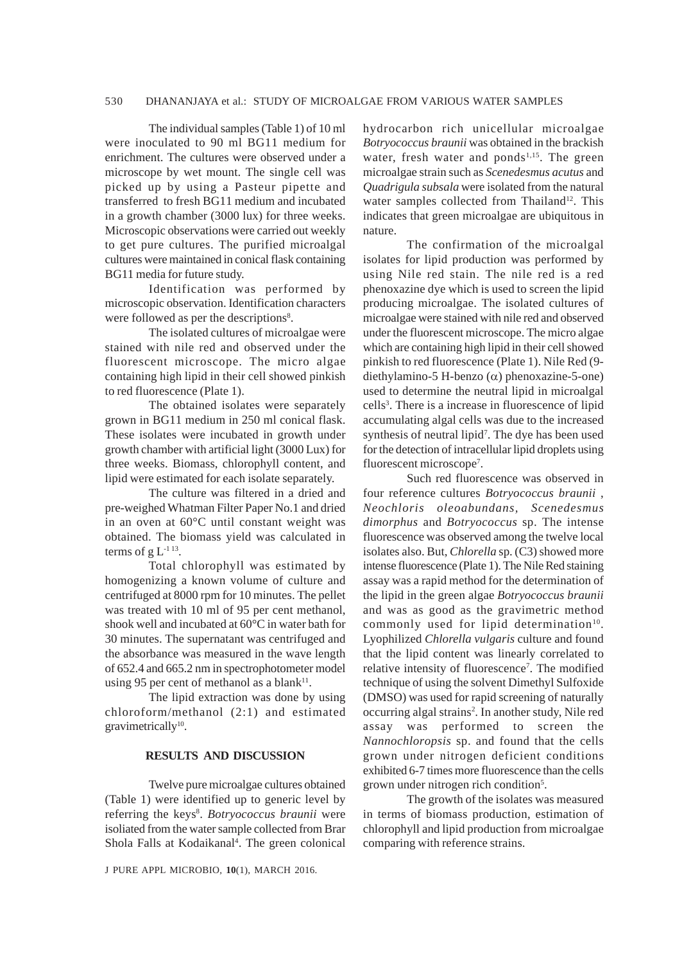#### 530 DHANANJAYA et al.: STUDY OF MICROALGAE FROM VARIOUS WATER SAMPLES

The individual samples (Table 1) of 10 ml were inoculated to 90 ml BG11 medium for enrichment. The cultures were observed under a microscope by wet mount. The single cell was picked up by using a Pasteur pipette and transferred to fresh BG11 medium and incubated in a growth chamber (3000 lux) for three weeks. Microscopic observations were carried out weekly to get pure cultures. The purified microalgal cultures were maintained in conical flask containing BG11 media for future study.

Identification was performed by microscopic observation. Identification characters were followed as per the descriptions<sup>8</sup>.

The isolated cultures of microalgae were stained with nile red and observed under the fluorescent microscope. The micro algae containing high lipid in their cell showed pinkish to red fluorescence (Plate 1).

The obtained isolates were separately grown in BG11 medium in 250 ml conical flask. These isolates were incubated in growth under growth chamber with artificial light (3000 Lux) for three weeks. Biomass, chlorophyll content, and lipid were estimated for each isolate separately.

The culture was filtered in a dried and pre-weighed Whatman Filter Paper No.1 and dried in an oven at 60°C until constant weight was obtained. The biomass yield was calculated in terms of g  $L^{-1}$  13.

Total chlorophyll was estimated by homogenizing a known volume of culture and centrifuged at 8000 rpm for 10 minutes. The pellet was treated with 10 ml of 95 per cent methanol, shook well and incubated at 60°C in water bath for 30 minutes. The supernatant was centrifuged and the absorbance was measured in the wave length of 652.4 and 665.2 nm in spectrophotometer model using 95 per cent of methanol as a blank $11$ .

The lipid extraction was done by using chloroform/methanol (2:1) and estimated gravimetrically<sup>10</sup>.

### **RESULTS AND DISCUSSION**

Twelve pure microalgae cultures obtained (Table 1) were identified up to generic level by referring the keys<sup>8</sup>. *Botryococcus braunii* were isoliated from the water sample collected from Brar Shola Falls at Kodaikanal<sup>4</sup>. The green colonical

J PURE APPL MICROBIO*,* **10**(1), MARCH 2016.

hydrocarbon rich unicellular microalgae *Botryococcus braunii* was obtained in the brackish water, fresh water and ponds<sup>1,15</sup>. The green microalgae strain such as *Scenedesmus acutus* and *Quadrigula subsala* were isolated from the natural water samples collected from Thailand<sup>12</sup>. This indicates that green microalgae are ubiquitous in nature.

The confirmation of the microalgal isolates for lipid production was performed by using Nile red stain. The nile red is a red phenoxazine dye which is used to screen the lipid producing microalgae. The isolated cultures of microalgae were stained with nile red and observed under the fluorescent microscope. The micro algae which are containing high lipid in their cell showed pinkish to red fluorescence (Plate 1). Nile Red (9 diethylamino-5 H-benzo (α) phenoxazine-5-one) used to determine the neutral lipid in microalgal cells<sup>3</sup>. There is a increase in fluorescence of lipid accumulating algal cells was due to the increased synthesis of neutral lipid<sup>7</sup>. The dye has been used for the detection of intracellular lipid droplets using fluorescent microscope<sup>7</sup>.

Such red fluorescence was observed in four reference cultures *Botryococcus braunii* , *Neochloris oleoabundans, Scenedesmus dimorphus* and *Botryococcus* sp. The intense fluorescence was observed among the twelve local isolates also. But, *Chlorella* sp. (C3) showed more intense fluorescence (Plate 1). The Nile Red staining assay was a rapid method for the determination of the lipid in the green algae *Botryococcus braunii* and was as good as the gravimetric method commonly used for lipid determination $10$ . Lyophilized *Chlorella vulgaris* culture and found that the lipid content was linearly correlated to relative intensity of fluorescence<sup>7</sup>. The modified technique of using the solvent Dimethyl Sulfoxide (DMSO) was used for rapid screening of naturally occurring algal strains<sup>2</sup>. In another study, Nile red assay was performed to screen the *Nannochloropsis* sp. and found that the cells grown under nitrogen deficient conditions exhibited 6-7 times more fluorescence than the cells grown under nitrogen rich condition<sup>5</sup>.

The growth of the isolates was measured in terms of biomass production, estimation of chlorophyll and lipid production from microalgae comparing with reference strains.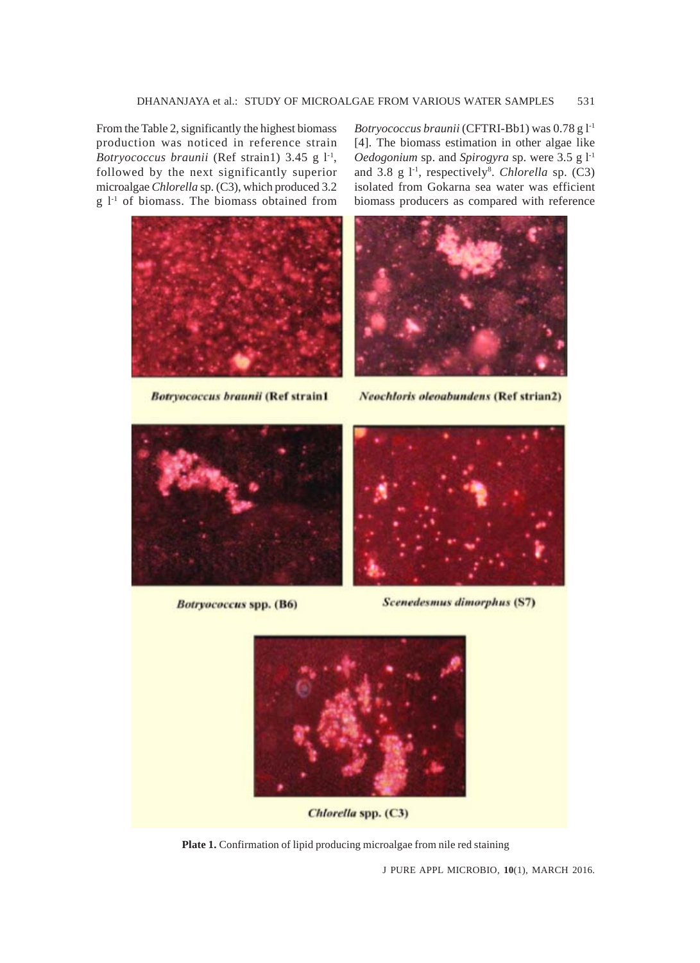From the Table 2, significantly the highest biomass production was noticed in reference strain *Botryococcus braunii* (Ref strain1) 3.45 g l<sup>-1</sup>, followed by the next significantly superior microalgae *Chlorella* sp. (C3), which produced 3.2  $g \,$ 1<sup>-1</sup> of biomass. The biomass obtained from



**Botryococcus braunii (Ref strain1** 

*Botryococcus braunii* (CFTRI-Bb1) was 0.78 g l-1 [4]. The biomass estimation in other algae like *Oedogonium* sp. and *Spirogyra* sp. were 3.5 g l-1 and 3.8 g 1<sup>-1</sup>, respectively<sup>8</sup>. Chlorella sp. (C3) isolated from Gokarna sea water was efficient biomass producers as compared with reference



**Neochloris oleoabundens (Ref strian2)** 



**Botryococcus spp. (B6)** 



**Scenedesmus dimorphus (S7)** 



Chlorella spp. (C3)

Plate 1. Confirmation of lipid producing microalgae from nile red staining

J PURE APPL MICROBIO*,* **10**(1), MARCH 2016.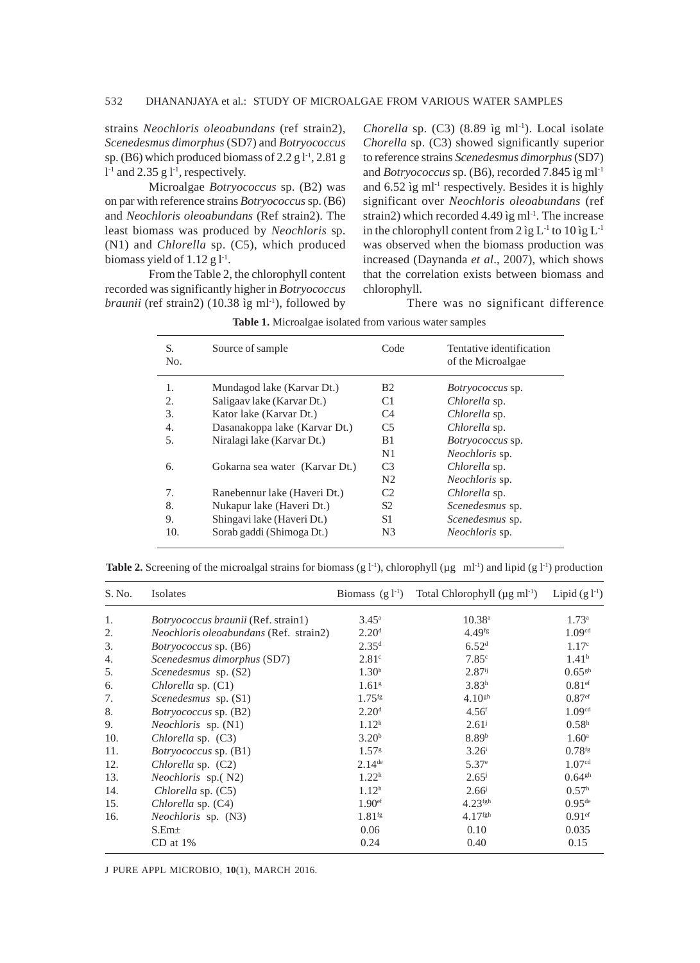strains *Neochloris oleoabundans* (ref strain2), *Scenedesmus dimorphus* (SD7) and *Botryococcus* sp. (B6) which produced biomass of  $2.2 g1<sup>1</sup>$ ,  $2.81 g$  $l<sup>-1</sup>$  and 2.35 g  $l<sup>-1</sup>$ , respectively.

Microalgae *Botryococcus* sp. (B2) was on par with reference strains *Botryococcus* sp. (B6) and *Neochloris oleoabundans* (Ref strain2). The least biomass was produced by *Neochloris* sp. (N1) and *Chlorella* sp. (C5), which produced biomass yield of  $1.12 \text{ g}$   $1^{-1}$ .

From the Table 2, the chlorophyll content recorded was significantly higher in *Botryococcus braunii* (ref strain2) (10.38 ìg ml<sup>-1</sup>), followed by

*Chorella* sp.  $(C3)$   $(8.89 \text{ kg} \text{ ml}^{-1})$ . Local isolate *Chorella* sp. (C3) showed significantly superior to reference strains *Scenedesmus dimorphus* (SD7) and *Botryococcus* sp. (B6), recorded 7.845 ìg ml-1 and 6.52 ìg ml<sup>-1</sup> respectively. Besides it is highly significant over *Neochloris oleoabundans* (ref strain2) which recorded 4.49  $\text{kg}$  ml<sup>-1</sup>. The increase in the chlorophyll content from  $2$  ìg  $L<sup>-1</sup>$  to  $10$  ìg  $L<sup>-1</sup>$ was observed when the biomass production was increased (Daynanda *et al*., 2007), which shows that the correlation exists between biomass and chlorophyll.

There was no significant difference

| S.<br>No. | Source of sample               | Code           | Tentative identification<br>of the Microalgae |
|-----------|--------------------------------|----------------|-----------------------------------------------|
| 1.        | Mundagod lake (Karvar Dt.)     | <b>B2</b>      | <i>Botryococcus</i> sp.                       |
| 2.        | Saligaav lake (Karvar Dt.)     | C1             | Chlorella sp.                                 |
| 3.        | Kator lake (Karvar Dt.)        | C4             | Chlorella sp.                                 |
| 4.        | Dasanakoppa lake (Karvar Dt.)  | C <sub>5</sub> | Chlorella sp.                                 |
| 5.        | Niralagi lake (Karvar Dt.)     | B1             | Botryococcus sp.                              |
|           |                                | N1             | Neochloris sp.                                |
| 6.        | Gokarna sea water (Karvar Dt.) | C <sub>3</sub> | Chlorella sp.                                 |
|           |                                | N <sub>2</sub> | <i>Neochloris</i> sp.                         |
| 7.        | Ranebennur lake (Haveri Dt.)   | C <sub>2</sub> | Chlorella sp.                                 |
| 8.        | Nukapur lake (Haveri Dt.)      | S2             | Scenedesmus sp.                               |
| 9.        | Shingavi lake (Haveri Dt.)     | S1             | Scenedesmus sp.                               |
| 10.       | Sorab gaddi (Shimoga Dt.)      | N <sub>3</sub> | <i>Neochloris</i> sp.                         |

**Table 1.** Microalgae isolated from various water samples

|  | <b>Table 2.</b> Screening of the microalgal strains for biomass (g $1^{-1}$ ), chlorophyll ( $\mu$ g ml <sup>-1</sup> ) and lipid (g $1^{-1}$ ) production |  |  |  |
|--|------------------------------------------------------------------------------------------------------------------------------------------------------------|--|--|--|
|  |                                                                                                                                                            |  |  |  |

| S. No. | Isolates                                      | Biomass $(g l^{-1})$ | Total Chlorophyll $(\mu g \text{ ml}^{-1})$ | Lipid $(g l^{-1})$   |
|--------|-----------------------------------------------|----------------------|---------------------------------------------|----------------------|
| 1.     | <i>Botryococcus braunii</i> (Ref. strain1)    | $3.45^{\circ}$       | $10.38^{\circ}$                             | $1.73^{\circ}$       |
| 2.     | <i>Neochloris oleoabundans</i> (Ref. strain2) | 2.20 <sup>d</sup>    | $4.49$ <sup>fg</sup>                        | 1.09 <sup>cd</sup>   |
| 3.     | <i>Botryococcus</i> sp. (B6)                  | 2.35 <sup>d</sup>    | 6.52 <sup>d</sup>                           | 1.17 <sup>c</sup>    |
| 4.     | Scenedesmus dimorphus (SD7)                   | 2.81 <sup>c</sup>    | 7.85c                                       | 1.41 <sup>b</sup>    |
| 5.     | Scenedesmus sp. (S2)                          | 1.30 <sup>h</sup>    | $2.87$ <sup>ij</sup>                        | $0.65$ <sup>gh</sup> |
| 6.     | Chlorella sp. (C1)                            | 1.61 <sup>g</sup>    | 3.83 <sup>h</sup>                           | $0.81$ <sup>ef</sup> |
| 7.     | Scenedesmus sp. (S1)                          | $1.75$ <sup>fg</sup> | $4.10^{gh}$                                 | 0.87 <sup>ef</sup>   |
| 8.     | <i>Botryococcus</i> sp. (B2)                  | 2.20 <sup>d</sup>    | 4.56 <sup>f</sup>                           | 1.09 <sup>cd</sup>   |
| 9.     | <i>Neochloris</i> sp. (N1)                    | 1.12 <sup>h</sup>    | $2.61^{j}$                                  | 0.58 <sup>h</sup>    |
| 10.    | Chlorella sp. (C3)                            | 3.20 <sup>b</sup>    | 8.89 <sup>b</sup>                           | $1.60^{\circ}$       |
| 11.    | <i>Botryococcus</i> sp. (B1)                  | 1.57 <sup>g</sup>    | $3.26^{\rm i}$                              | $0.78$ <sup>fg</sup> |
| 12.    | <i>Chlorella</i> sp. $(C2)$                   | $2.14$ <sup>de</sup> | 5.37 <sup>e</sup>                           | 1.07 <sup>cd</sup>   |
| 13.    | <i>Neochloris</i> sp.(N2)                     | 1.22 <sup>h</sup>    | $2.65^{\rm j}$                              | $0.64$ <sup>gh</sup> |
| 14.    | Chlorella sp. (C5)                            | 1.12 <sup>h</sup>    | $2.66^{j}$                                  | 0.57 <sup>h</sup>    |
| 15.    | Chlorella sp. (C4)                            | 1.90 <sup>ef</sup>   | $4.23$ <sup>fgh</sup>                       | $0.95^{\text{de}}$   |
| 16.    | <i>Neochloris</i> sp. (N3)                    | $1.81$ <sup>fg</sup> | $4.17$ <sup>fgh</sup>                       | $0.91$ <sup>ef</sup> |
|        | S.Em <sub>±</sub>                             | 0.06                 | 0.10                                        | 0.035                |
|        | $CD$ at $1\%$                                 | 0.24                 | 0.40                                        | 0.15                 |

J PURE APPL MICROBIO*,* **10**(1), MARCH 2016.